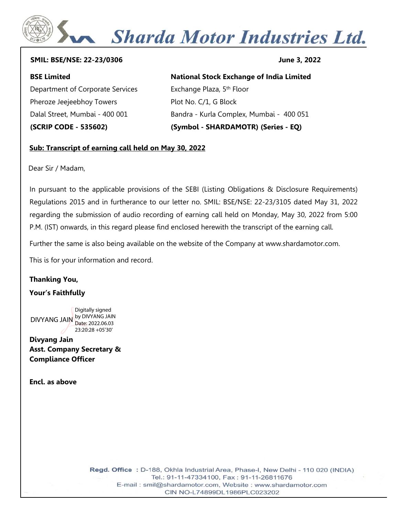# Sharda Motor Industries Ltd.

#### **SMIL: BSE/NSE: 22-23/0306 June 3, 2022**

#### **BSE Limited**

Department of Corporate Services Pheroze Jeejeebhoy Towers Dalal Street, Mumbai - 400 001 **(SCRIP CODE - 535602)**

#### **National Stock Exchange of India Limited**

Exchange Plaza, 5<sup>th</sup> Floor Plot No. C/1, G Block Bandra - Kurla Complex, Mumbai - 400 051 **(Symbol - SHARDAMOTR) (Series - EQ)**

#### **Sub: Transcript of earning call held on May 30, 2022**

Dear Sir / Madam,

In pursuant to the applicable provisions of the SEBI (Listing Obligations & Disclosure Requirements) Regulations 2015 and in furtherance to our letter no. SMIL: BSE/NSE: 22-23/3105 dated May 31, 2022 regarding the submission of audio recording of earning call held on Monday, May 30, 2022 from 5:00 P.M. (IST) onwards, in this regard please find enclosed herewith the transcript of the earning call.

Further the same is also being available on the website of the Company at www.shardamotor.com.

This is for your information and record.

### **Thanking You,**

#### **Your's Faithfully**

DIVYANG JAIN by DIVYANG JAIN Digitally signed Date: 2022.06.03 23:20:28 +05'30'

**Divyang Jain Asst. Company Secretary & Compliance Officer**

**Encl. as above**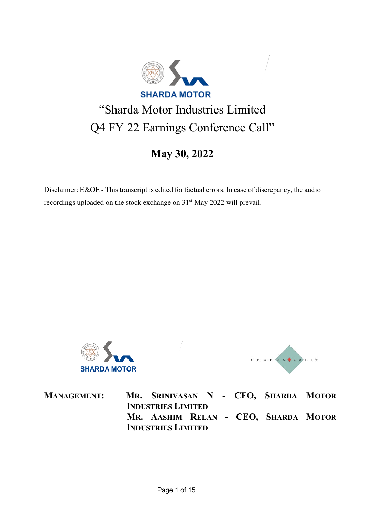

## "Sharda Motor Industries Limited Q4 FY 22 Earnings Conference Call"

## **May 30, 2022**

Disclaimer: E&OE - This transcript is edited for factual errors. In case of discrepancy, the audio recordings uploaded on the stock exchange on 31<sup>st</sup> May 2022 will prevail.



CHORUS CAL

**INDUSTRIES LIMITED INDUSTRIES LIMITED** 

**MANAGEMENT: MR. SRINIVASAN N - CFO, SHARDA MOTOR MR. AASHIM RELAN - CEO, SHARDA MOTOR**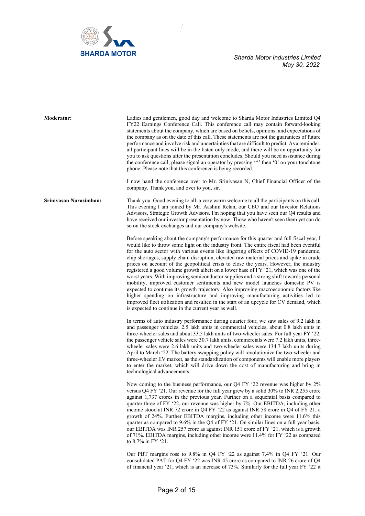

**Moderator:** Ladies and gentlemen, good day and welcome to Sharda Motor Industries Limited Q4 FY22 Earnings Conference Call. This conference call may contain forward-looking statements about the company, which are based on beliefs, opinions, and expectations of the company as on the date of this call. These statements are not the guarantees of future performance and involve risk and uncertainties that are difficult to predict. As a reminder, all participant lines will be in the listen only mode, and there will be an opportunity for you to ask questions after the presentation concludes. Should you need assistance during the conference call, please signal an operator by pressing '\*' then '0' on your touchtone phone. Please note that this conference is being recorded.

> I now hand the conference over to Mr. Srinivasan N, Chief Financial Officer of the company. Thank you, and over to you, sir.

**Srinivasan Narasimhan:** Thank you. Good evening to all, a very warm welcome to all the participants on this call. This evening I am joined by Mr. Aashim Relan, our CEO and our Investor Relations Advisors, Strategic Growth Advisors. I'm hoping that you have seen our Q4 results and have received our investor presentation by now. Those who haven't seen them yet can do so on the stock exchanges and our company's website.

> Before speaking about the company's performance for this quarter and full fiscal year, I would like to throw some light on the industry front. The entire fiscal had been eventful for the auto sector with various events like lingering effects of COVID-19 pandemic, chip shortages, supply chain disruption, elevated raw material prices and spike in crude prices on account of the geopolitical crisis to close the years. However, the industry registered a good volume growth albeit on a lower base of FY '21, which was one of the worst years. With improving semiconductor supplies and a strong shift towards personal mobility, improved customer sentiments and new model launches domestic PV is expected to continue its growth trajectory. Also improving macroeconomic factors like higher spending on infrastructure and improving manufacturing activities led to improved fleet utilization and resulted in the start of an upcycle for CV demand, which is expected to continue in the current year as well.

> In terms of auto industry performance during quarter four, we saw sales of 9.2 lakh in and passenger vehicles. 2.5 lakh units in commercial vehicles, about 0.8 lakh units in three-wheeler sales and about 33.5 lakh units of two-wheeler sales. For full year FY '22, the passenger vehicle sales were 30.7 lakh units, commercials were 7.2 lakh units, threewheeler sales were 2.6 lakh units and two-wheeler sales were 134.7 lakh units during April to March '22. The battery swapping policy will revolutionize the two-wheeler and three-wheeler EV market, as the standardization of components will enable more players to enter the market, which will drive down the cost of manufacturing and bring in technological advancements.

> Now coming to the business performance, our Q4 FY '22 revenue was higher by 2% versus Q4 FY '21. Our revenue for the full year grew by a solid 30% to INR 2,255 crore against 1,737 crores in the previous year. Further on a sequential basis compared to quarter three of FY '22, our revenue was higher by 7%. Our EBITDA, including other income stood at INR 72 crore in Q4 FY '22 as against INR 58 crore in Q4 of FY 21, a growth of 24%. Further EBITDA margins, including other income were 11.6% this quarter as compared to 9.6% in the Q4 of FY '21. On similar lines on a full year basis, our EBITDA was INR 257 crore as against INR 151 crore of FY '21, which is a growth of 71%. EBITDA margins, including other income were 11.4% for FY '22 as compared to 8.7% in FY '21.

> Our PBT margins rose to 9.8% in Q4 FY '22 as against 7.4% in Q4 FY '21. Our consolidated PAT for Q4 FY '22 was INR 45 crore as compared to INR 26 crore of Q4 of financial year '21, which is an increase of 73%. Similarly for the full year FY '22 it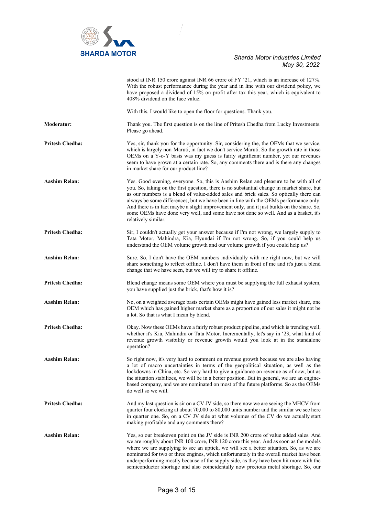

|                        | stood at INR 150 crore against INR 66 crore of FY '21, which is an increase of 127%.<br>With the robust performance during the year and in line with our dividend policy, we<br>have proposed a dividend of 15% on profit after tax this year, which is equivalent to<br>408% dividend on the face value.                                                                                                                                                                                                                                                                         |
|------------------------|-----------------------------------------------------------------------------------------------------------------------------------------------------------------------------------------------------------------------------------------------------------------------------------------------------------------------------------------------------------------------------------------------------------------------------------------------------------------------------------------------------------------------------------------------------------------------------------|
|                        | With this. I would like to open the floor for questions. Thank you.                                                                                                                                                                                                                                                                                                                                                                                                                                                                                                               |
| <b>Moderator:</b>      | Thank you. The first question is on the line of Pritesh Chedha from Lucky Investments.<br>Please go ahead.                                                                                                                                                                                                                                                                                                                                                                                                                                                                        |
| <b>Pritesh Chedha:</b> | Yes, sir, thank you for the opportunity. Sir, considering the, the OEMs that we service,<br>which is largely non-Maruti, in fact we don't service Maruti. So the growth rate in those<br>OEMs on a Y-o-Y basis was my guess is fairly significant number, yet our revenues<br>seem to have grown at a certain rate. So, any comments there and is there any changes<br>in market share for our product line?                                                                                                                                                                      |
| <b>Aashim Relan:</b>   | Yes. Good evening, everyone. So, this is Aashim Relan and pleasure to be with all of<br>you. So, taking on the first question, there is no substantial change in market share, but<br>as our numbers is a blend of value-added sales and brick sales. So optically there can<br>always be some differences, but we have been in line with the OEMs performance only.<br>And there is in fact maybe a slight improvement only, and it just builds on the share. So,<br>some OEMs have done very well, and some have not done so well. And as a basket, it's<br>relatively similar. |
| <b>Pritesh Chedha:</b> | Sir, I couldn't actually get your answer because if I'm not wrong, we largely supply to<br>Tata Motor, Mahindra, Kia, Hyundai if I'm not wrong. So, if you could help us<br>understand the OEM volume growth and our volume growth if you could help us?                                                                                                                                                                                                                                                                                                                          |
| <b>Aashim Relan:</b>   | Sure. So, I don't have the OEM numbers individually with me right now, but we will<br>share something to reflect offline. I don't have them in front of me and it's just a blend<br>change that we have seen, but we will try to share it offline.                                                                                                                                                                                                                                                                                                                                |
| <b>Pritesh Chedha:</b> | Blend change means some OEM where you must be supplying the full exhaust system,<br>you have supplied just the brick, that's how it is?                                                                                                                                                                                                                                                                                                                                                                                                                                           |
| Aashim Relan:          | No, on a weighted average basis certain OEMs might have gained less market share, one<br>OEM which has gained higher market share as a proportion of our sales it might not be<br>a lot. So that is what I mean by blend.                                                                                                                                                                                                                                                                                                                                                         |
| <b>Pritesh Chedha:</b> | Okay. Now these OEMs have a fairly robust product pipeline, and which is trending well,<br>whether it's Kia, Mahindra or Tata Motor. Incrementally, let's say in '23, what kind of<br>revenue growth visibility or revenue growth would you look at in the standalone<br>operation?                                                                                                                                                                                                                                                                                               |
| <b>Aashim Relan:</b>   | So right now, it's very hard to comment on revenue growth because we are also having<br>a lot of macro uncertainties in terms of the geopolitical situation, as well as the<br>lockdowns in China, etc. So very hard to give a guidance on revenue as of now, but as<br>the situation stabilizes, we will be in a better position. But in general, we are an engine-<br>based company, and we are nominated on most of the future platforms. So as the OEMs<br>do well so we will.                                                                                                |
| <b>Pritesh Chedha:</b> | And my last question is sir on a CV JV side, so there now we are seeing the MHCV from<br>quarter four clocking at about 70,000 to 80,000 units number and the similar we see here<br>in quarter one. So, on a CV JV side at what volumes of the CV do we actually start<br>making profitable and any comments there?                                                                                                                                                                                                                                                              |
| Aashim Relan:          | Yes, so our breakeven point on the JV side is INR 200 crore of value added sales. And<br>we are roughly about INR 100 crore, INR 120 crore this year. And as soon as the models<br>where we are supplying to see an uptick, we will see a better situation. So, as we are<br>nominated for two or three engines, which unfortunately in the overall market have been<br>underperforming mostly because of the supply side, as they have been hit more with the<br>semiconductor shortage and also coincidentally now precious metal shortage. So, our                             |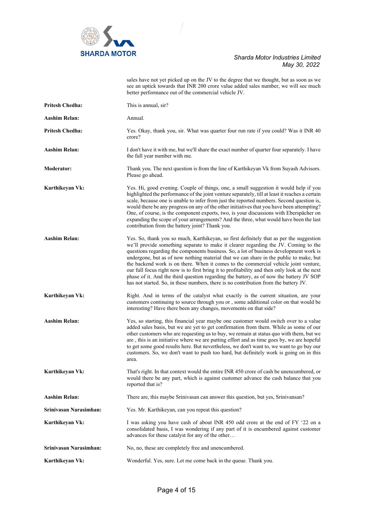

|                        | sales have not yet picked up on the JV to the degree that we thought, but as soon as we<br>see an uptick towards that INR 200 crore value added sales number, we will see much<br>better performance out of the commercial vehicle JV.                                                                                                                                                                                                                                                                                                                                                                                                                                                                                                         |
|------------------------|------------------------------------------------------------------------------------------------------------------------------------------------------------------------------------------------------------------------------------------------------------------------------------------------------------------------------------------------------------------------------------------------------------------------------------------------------------------------------------------------------------------------------------------------------------------------------------------------------------------------------------------------------------------------------------------------------------------------------------------------|
| <b>Pritesh Chedha:</b> | This is annual, sir?                                                                                                                                                                                                                                                                                                                                                                                                                                                                                                                                                                                                                                                                                                                           |
| <b>Aashim Relan:</b>   | Annual.                                                                                                                                                                                                                                                                                                                                                                                                                                                                                                                                                                                                                                                                                                                                        |
| <b>Pritesh Chedha:</b> | Yes. Okay, thank you, sir. What was quarter four run rate if you could? Was it INR 40<br>crore?                                                                                                                                                                                                                                                                                                                                                                                                                                                                                                                                                                                                                                                |
| Aashim Relan:          | I don't have it with me, but we'll share the exact number of quarter four separately. I have<br>the full year number with me.                                                                                                                                                                                                                                                                                                                                                                                                                                                                                                                                                                                                                  |
| <b>Moderator:</b>      | Thank you. The next question is from the line of Karthikeyan Vk from Suyash Advisors.<br>Please go ahead.                                                                                                                                                                                                                                                                                                                                                                                                                                                                                                                                                                                                                                      |
| Karthikeyan Vk:        | Yes. Hi, good evening. Couple of things, one, a small suggestion it would help if you<br>highlighted the performance of the joint venture separately, till at least it reaches a certain<br>scale, because one is unable to infer from just the reported numbers. Second question is,<br>would there be any progress on any of the other initiatives that you have been attempting?<br>One, of course, is the component exports, two, is your discussions with Eberspächer on<br>expanding the scope of your arrangements? And the three, what would have been the last<br>contribution from the battery joint? Thank you.                                                                                                                     |
| <b>Aashim Relan:</b>   | Yes. So, thank you so much, Karthikeyan, so first definitely that as per the suggestion<br>we'll provide something separate to make it clearer regarding the JV. Coming to the<br>questions regarding the components business. So, a lot of business development work is<br>undergone, but as of now nothing material that we can share in the public to make, but<br>the backend work is on there. When it comes to the commercial vehicle joint venture,<br>our full focus right now is to first bring it to profitability and then only look at the next<br>phase of it. And the third question regarding the battery, as of now the battery JV SOP<br>has not started. So, in these numbers, there is no contribution from the battery JV. |
| Karthikeyan Vk:        | Right. And in terms of the catalyst what exactly is the current situation, are your<br>customers continuing to source through you or, some additional color on that would be<br>interesting? Have there been any changes, movements on that side?                                                                                                                                                                                                                                                                                                                                                                                                                                                                                              |
| <b>Aashim Relan:</b>   | Yes, so starting, this financial year maybe one customer would switch over to a value<br>added sales basis, but we are yet to get confirmation from them. While as some of our<br>other customers who are requesting us to buy, we remain at status quo with them, but we<br>are, this is an initiative where we are putting effort and as time goes by, we are hopeful<br>to get some good results here. But nevertheless, we don't want to, we want to go buy our<br>customers. So, we don't want to push too hard, but definitely work is going on in this<br>area.                                                                                                                                                                         |
| Karthikeyan Vk:        | That's right. In that context would the entire INR 450 crore of cash be unencumbered, or<br>would there be any part, which is against customer advance the cash balance that you<br>reported that is?                                                                                                                                                                                                                                                                                                                                                                                                                                                                                                                                          |
| <b>Aashim Relan:</b>   | There are, this maybe Srinivasan can answer this question, but yes, Srinivansan?                                                                                                                                                                                                                                                                                                                                                                                                                                                                                                                                                                                                                                                               |
| Srinivasan Narasimhan: | Yes. Mr. Karthikeyan, can you repeat this question?                                                                                                                                                                                                                                                                                                                                                                                                                                                                                                                                                                                                                                                                                            |
| Karthikeyan Vk:        | I was asking you have cash of about INR 450 odd crore at the end of FY '22 on a<br>consolidated basis, I was wondering if any part of it is encumbered against customer<br>advances for these catalyst for any of the other                                                                                                                                                                                                                                                                                                                                                                                                                                                                                                                    |
| Sriniyasan Narasimhan: | No, no, these are completely free and unencumbered.                                                                                                                                                                                                                                                                                                                                                                                                                                                                                                                                                                                                                                                                                            |
| Karthikeyan Vk:        | Wonderful. Yes, sure. Let me come back in the queue. Thank you.                                                                                                                                                                                                                                                                                                                                                                                                                                                                                                                                                                                                                                                                                |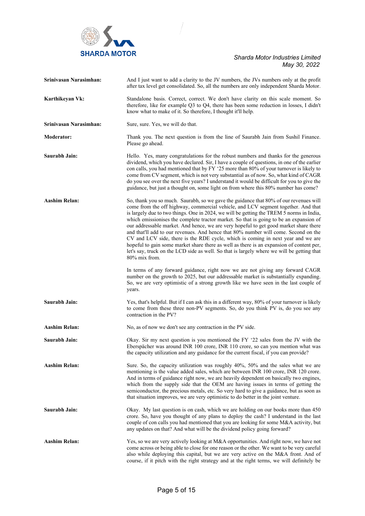

| Srinivasan Narasimhan: | And I just want to add a clarity to the JV numbers, the JVs numbers only at the profit<br>after tax level get consolidated. So, all the numbers are only independent Sharda Motor.                                                                                                                                                                                                                                                                                                                                                                                                                                                                                                                                                                                                                                                                                                                                                                                                                                                                                                                                           |
|------------------------|------------------------------------------------------------------------------------------------------------------------------------------------------------------------------------------------------------------------------------------------------------------------------------------------------------------------------------------------------------------------------------------------------------------------------------------------------------------------------------------------------------------------------------------------------------------------------------------------------------------------------------------------------------------------------------------------------------------------------------------------------------------------------------------------------------------------------------------------------------------------------------------------------------------------------------------------------------------------------------------------------------------------------------------------------------------------------------------------------------------------------|
| Karthikeyan Vk:        | Standalone basis. Correct, correct. We don't have clarity on this scale moment. So<br>therefore, like for example Q3 to Q4, there has been some reduction in losses, I didn't<br>know what to make of it. So therefore, I thought it'll help.                                                                                                                                                                                                                                                                                                                                                                                                                                                                                                                                                                                                                                                                                                                                                                                                                                                                                |
| Srinivasan Narasimhan: | Sure, sure. Yes, we will do that.                                                                                                                                                                                                                                                                                                                                                                                                                                                                                                                                                                                                                                                                                                                                                                                                                                                                                                                                                                                                                                                                                            |
| <b>Moderator:</b>      | Thank you. The next question is from the line of Saurabh Jain from Sushil Finance.<br>Please go ahead.                                                                                                                                                                                                                                                                                                                                                                                                                                                                                                                                                                                                                                                                                                                                                                                                                                                                                                                                                                                                                       |
| Saurabh Jain:          | Hello. Yes, many congratulations for the robust numbers and thanks for the generous<br>dividend, which you have declared. Sir, I have a couple of questions, in one of the earlier<br>con calls, you had mentioned that by FY '25 more than 80% of your turnover is likely to<br>come from CV segment, which is not very substantial as of now. So, what kind of CAGR<br>do you see over the next five years? I understand it would be difficult for you to give the<br>guidance, but just a thought on, some light on from where this 80% number has come?                                                                                                                                                                                                                                                                                                                                                                                                                                                                                                                                                                  |
| <b>Aashim Relan:</b>   | So, thank you so much. Saurabh, so we gave the guidance that 80% of our revenues will<br>come from the off highway, commercial vehicle, and LCV segment together. And that<br>is largely due to two things. One in 2024, we will be getting the TREM 5 norms in India,<br>which emissionises the complete tractor market. So that is going to be an expansion of<br>our addressable market. And hence, we are very hopeful to get good market share there<br>and that'll add to our revenues. And hence that 80% number will come. Second on the<br>CV and LCV side, there is the RDE cycle, which is coming in next year and we are<br>hopeful to gain some market share there as well as there is an expansion of content per,<br>let's say, truck on the LCD side as well. So that is largely where we will be getting that<br>80% mix from.<br>In terms of any forward guidance, right now we are not giving any forward CAGR<br>number on the growth to 2025, but our addressable market is substantially expanding.<br>So, we are very optimistic of a strong growth like we have seen in the last couple of<br>years. |
| Saurabh Jain:          | Yes, that's helpful. But if I can ask this in a different way, 80% of your turnover is likely<br>to come from these three non-PV segments. So, do you think PV is, do you see any<br>contraction in the PV?                                                                                                                                                                                                                                                                                                                                                                                                                                                                                                                                                                                                                                                                                                                                                                                                                                                                                                                  |
| <b>Aashim Relan:</b>   | No, as of now we don't see any contraction in the PV side.                                                                                                                                                                                                                                                                                                                                                                                                                                                                                                                                                                                                                                                                                                                                                                                                                                                                                                                                                                                                                                                                   |
| Saurabh Jain:          | Okay. Sir my next question is you mentioned the FY '22 sales from the JV with the<br>Eberspächer was around INR 100 crore, INR 110 crore, so can you mention what was<br>the capacity utilization and any guidance for the current fiscal, if you can provide?                                                                                                                                                                                                                                                                                                                                                                                                                                                                                                                                                                                                                                                                                                                                                                                                                                                               |
| <b>Aashim Relan:</b>   | Sure. So, the capacity utilization was roughly 40%, 50% and the sales what we are<br>mentioning is the value added sales, which are between INR 100 crore, INR 120 crore.<br>And in terms of guidance right now, we are heavily dependent on basically two engines,<br>which from the supply side that the OEM are having issues in terms of getting the<br>semiconductor, the precious metals, etc. So very hard to give a guidance, but as soon as<br>that situation improves, we are very optimistic to do better in the joint venture.                                                                                                                                                                                                                                                                                                                                                                                                                                                                                                                                                                                   |
| Saurabh Jain:          | Okay. My last question is on cash, which we are holding on our books more than 450<br>crore. So, have you thought of any plans to deploy the cash? I understand in the last<br>couple of con calls you had mentioned that you are looking for some M&A activity, but<br>any updates on that? And what will be the dividend policy going forward?                                                                                                                                                                                                                                                                                                                                                                                                                                                                                                                                                                                                                                                                                                                                                                             |
| <b>Aashim Relan:</b>   | Yes, so we are very actively looking at M&A opportunities. And right now, we have not<br>come across or being able to close for one reason or the other. We want to be very careful<br>also while deploying this capital, but we are very active on the M&A front. And of<br>course, if it pitch with the right strategy and at the right terms, we will definitely be                                                                                                                                                                                                                                                                                                                                                                                                                                                                                                                                                                                                                                                                                                                                                       |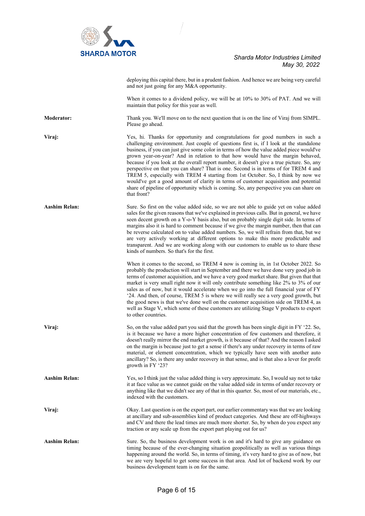

|                      | deploying this capital there, but in a prudent fashion. And hence we are being very careful<br>and not just going for any M&A opportunity.                                                                                                                                                                                                                                                                                                                                                                                                                                                                                                                                                                                                                                                                                       |
|----------------------|----------------------------------------------------------------------------------------------------------------------------------------------------------------------------------------------------------------------------------------------------------------------------------------------------------------------------------------------------------------------------------------------------------------------------------------------------------------------------------------------------------------------------------------------------------------------------------------------------------------------------------------------------------------------------------------------------------------------------------------------------------------------------------------------------------------------------------|
|                      | When it comes to a dividend policy, we will be at 10% to 30% of PAT. And we will<br>maintain that policy for this year as well.                                                                                                                                                                                                                                                                                                                                                                                                                                                                                                                                                                                                                                                                                                  |
| <b>Moderator:</b>    | Thank you. We'll move on to the next question that is on the line of Viraj from SIMPL.<br>Please go ahead.                                                                                                                                                                                                                                                                                                                                                                                                                                                                                                                                                                                                                                                                                                                       |
| Viraj:               | Yes, hi. Thanks for opportunity and congratulations for good numbers in such a<br>challenging environment. Just couple of questions first is, if I look at the standalone<br>business, if you can just give some color in terms of how the value added piece would've<br>grown year-on-year? And in relation to that how would have the margin behaved,<br>because if you look at the overall report number, it doesn't give a true picture. So, any<br>perspective on that you can share? That is one. Second is in terms of for TREM 4 and<br>TREM 5, especially with TREM 4 starting from 1st October. So, I think by now we<br>would've got a good amount of clarity in terms of customer acquisition and potential<br>share of pipeline of opportunity which is coming. So, any perspective you can share on<br>that front? |
| <b>Aashim Relan:</b> | Sure. So first on the value added side, so we are not able to guide yet on value added<br>sales for the given reasons that we've explained in previous calls. But in general, we have<br>seen decent growth on a Y-o-Y basis also, but on probably single digit side. In terms of<br>margins also it is hard to comment because if we give the margin number, then that can<br>be reverse calculated on to value added numbers. So, we will refrain from that, but we<br>are very actively working at different options to make this more predictable and<br>transparent. And we are working along with our customers to enable us to share these<br>kinds of numbers. So that's for the first.                                                                                                                                  |
|                      | When it comes to the second, so TREM 4 now is coming in, in 1st October 2022. So<br>probably the production will start in September and there we have done very good job in<br>terms of customer acquisition, and we have a very good market share. But given that that<br>market is very small right now it will only contribute something like 2% to 3% of our<br>sales as of now, but it would accelerate when we go into the full financial year of FY<br>'24. And then, of course, TREM 5 is where we will really see a very good growth, but<br>the good news is that we've done well on the customer acquisition side on TREM 4, as<br>well as Stage V, which some of these customers are utilizing Stage V products to export<br>to other countries.                                                                     |
| Viraj:               | So, on the value added part you said that the growth has been single digit in FY '22. So,<br>is it because we have a more higher concentration of few customers and therefore, it<br>doesn't really mirror the end market growth, is it because of that? And the reason I asked<br>on the margin is because just to get a sense if there's any under recovery in terms of raw<br>material, or element concentration, which we typically have seen with another auto<br>ancillary? So, is there any under recovery in that sense, and is that also a lever for profit<br>growth in FY '23?                                                                                                                                                                                                                                        |
| <b>Aashim Relan:</b> | Yes, so I think just the value added thing is very approximate. So, I would say not to take<br>it at face value as we cannot guide on the value added side in terms of under recovery or<br>anything like that we didn't see any of that in this quarter. So, most of our materials, etc.,<br>indexed with the customers.                                                                                                                                                                                                                                                                                                                                                                                                                                                                                                        |
| Viraj:               | Okay. Last question is on the export part, our earlier commentary was that we are looking<br>at ancillary and sub-assemblies kind of product categories. And these are off-highways<br>and CV and there the lead times are much more shorter. So, by when do you expect any<br>traction or any scale up from the export part playing out for us?                                                                                                                                                                                                                                                                                                                                                                                                                                                                                 |
| Aashim Relan:        | Sure. So, the business development work is on and it's hard to give any guidance on<br>timing because of the ever-changing situation geopolitically as well as various things<br>happening around the world. So, in terms of timing, it's very hard to give as of now, but<br>we are very hopeful to get some success in that area. And lot of backend work by our<br>business development team is on for the same.                                                                                                                                                                                                                                                                                                                                                                                                              |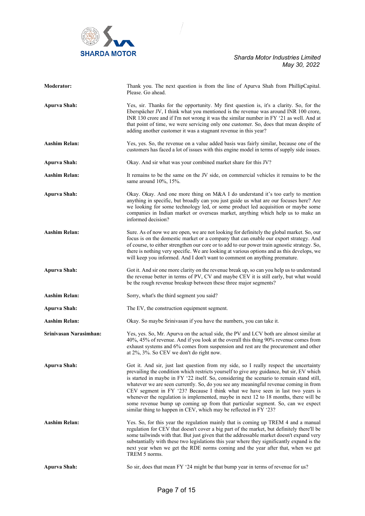

| <b>Moderator:</b>      | Thank you. The next question is from the line of Apurva Shah from PhillipCapital.<br>Please. Go ahead.                                                                                                                                                                                                                                                                                                                                                                                                                                                                                                                                                                                                  |
|------------------------|---------------------------------------------------------------------------------------------------------------------------------------------------------------------------------------------------------------------------------------------------------------------------------------------------------------------------------------------------------------------------------------------------------------------------------------------------------------------------------------------------------------------------------------------------------------------------------------------------------------------------------------------------------------------------------------------------------|
| <b>Apurva Shah:</b>    | Yes, sir. Thanks for the opportunity. My first question is, it's a clarity. So, for the<br>Eberspächer JV, I think what you mentioned is the revenue was around INR 100 crore,<br>INR 130 crore and if I'm not wrong it was the similar number in FY '21 as well. And at<br>that point of time, we were servicing only one customer. So, does that mean despite of<br>adding another customer it was a stagnant revenue in this year?                                                                                                                                                                                                                                                                   |
| <b>Aashim Relan:</b>   | Yes, yes. So, the revenue on a value added basis was fairly similar, because one of the<br>customers has faced a lot of issues with this engine model in terms of supply side issues.                                                                                                                                                                                                                                                                                                                                                                                                                                                                                                                   |
| <b>Apurva Shah:</b>    | Okay. And sir what was your combined market share for this JV?                                                                                                                                                                                                                                                                                                                                                                                                                                                                                                                                                                                                                                          |
| Aashim Relan:          | It remains to be the same on the JV side, on commercial vehicles it remains to be the<br>same around $10\%$ , 15%.                                                                                                                                                                                                                                                                                                                                                                                                                                                                                                                                                                                      |
| <b>Apurva Shah:</b>    | Okay. Okay. And one more thing on M&A I do understand it's too early to mention<br>anything in specific, but broadly can you just guide us what are our focuses here? Are<br>we looking for some technology led, or some product led acquisition or maybe some<br>companies in Indian market or overseas market, anything which help us to make an<br>informed decision?                                                                                                                                                                                                                                                                                                                                |
| <b>Aashim Relan:</b>   | Sure. As of now we are open, we are not looking for definitely the global market. So, our<br>focus is on the domestic market or a company that can enable our export strategy. And<br>of course, to either strengthen our core or to add to our power train agnostic strategy. So,<br>there is nothing very specific. We are looking at various options and as this develops, we<br>will keep you informed. And I don't want to comment on anything premature.                                                                                                                                                                                                                                          |
| <b>Apurva Shah:</b>    | Got it. And sir one more clarity on the revenue break up, so can you help us to understand<br>the revenue better in terms of PV, CV and maybe CEV it is still early, but what would<br>be the rough revenue breakup between these three major segments?                                                                                                                                                                                                                                                                                                                                                                                                                                                 |
| <b>Aashim Relan:</b>   | Sorry, what's the third segment you said?                                                                                                                                                                                                                                                                                                                                                                                                                                                                                                                                                                                                                                                               |
| <b>Apurva Shah:</b>    | The EV, the construction equipment segment.                                                                                                                                                                                                                                                                                                                                                                                                                                                                                                                                                                                                                                                             |
| <b>Aashim Relan:</b>   | Okay. So maybe Srinivasan if you have the numbers, you can take it.                                                                                                                                                                                                                                                                                                                                                                                                                                                                                                                                                                                                                                     |
| Srinivasan Narasimhan: | Yes, yes. So, Mr. Apurva on the actual side, the PV and LCV both are almost similar at<br>40%, 45% of revenue. And if you look at the overall this thing 90% revenue comes from<br>exhaust systems and 6% comes from suspension and rest are the procurement and other<br>at 2%, 3%. So CEV we don't do right now.                                                                                                                                                                                                                                                                                                                                                                                      |
| <b>Apurva Shah:</b>    | Got it. And sir, just last question from my side, so I really respect the uncertainty<br>prevailing the condition which restricts yourself to give any guidance, but sir, EV which<br>is started in maybe in FY '22 itself. So, considering the scenario to remain stand still,<br>whatever we are seen currently. So, do you see any meaningful revenue coming in from<br>CEV segment in FY '23? Because I think what we have seen in last two years is<br>whenever the regulation is implemented, maybe in next 12 to 18 months, there will be<br>some revenue bump up coming up from that particular segment. So, can we expect<br>similar thing to happen in CEV, which may be reflected in FY '23? |
| <b>Aashim Relan:</b>   | Yes. So, for this year the regulation mainly that is coming up TREM 4 and a manual<br>regulation for CEV that doesn't cover a big part of the market, but definitely there'll be<br>some tailwinds with that. But just given that the addressable market doesn't expand very<br>substantially with these two legislations this year where they significantly expand is the<br>next year when we get the RDE norms coming and the year after that, when we get<br>TREM 5 norms.                                                                                                                                                                                                                          |
| <b>Apurva Shah:</b>    | So sir, does that mean FY '24 might be that bump year in terms of revenue for us?                                                                                                                                                                                                                                                                                                                                                                                                                                                                                                                                                                                                                       |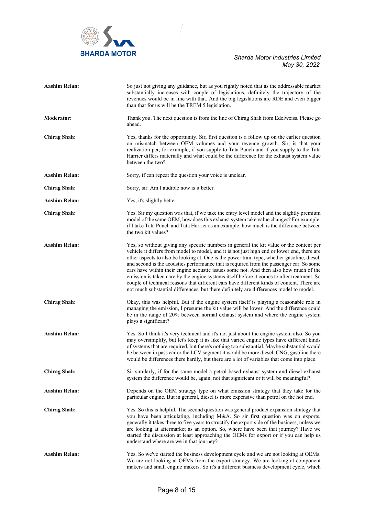

| <b>Aashim Relan:</b> | So just not giving any guidance, but as you rightly noted that as the addressable market<br>substantially increases with couple of legislations, definitely the trajectory of the<br>revenues would be in line with that. And the big legislations are RDE and even bigger<br>than that for us will be the TREM 5 legislation.                                                                                                                                                                                                                                                                                                                                                                                                                                   |
|----------------------|------------------------------------------------------------------------------------------------------------------------------------------------------------------------------------------------------------------------------------------------------------------------------------------------------------------------------------------------------------------------------------------------------------------------------------------------------------------------------------------------------------------------------------------------------------------------------------------------------------------------------------------------------------------------------------------------------------------------------------------------------------------|
| <b>Moderator:</b>    | Thank you. The next question is from the line of Chirag Shah from Edelweiss. Please go<br>ahead.                                                                                                                                                                                                                                                                                                                                                                                                                                                                                                                                                                                                                                                                 |
| <b>Chirag Shah:</b>  | Yes, thanks for the opportunity. Sir, first question is a follow up on the earlier question<br>on mismatch between OEM volumes and your revenue growth. Sir, is that your<br>realization per, for example, if you supply to Tata Punch and if you supply to the Tata<br>Harrier differs materially and what could be the difference for the exhaust system value<br>between the two?                                                                                                                                                                                                                                                                                                                                                                             |
| <b>Aashim Relan:</b> | Sorry, if can repeat the question your voice is unclear.                                                                                                                                                                                                                                                                                                                                                                                                                                                                                                                                                                                                                                                                                                         |
| <b>Chirag Shah:</b>  | Sorry, sir. Am I audible now is it better.                                                                                                                                                                                                                                                                                                                                                                                                                                                                                                                                                                                                                                                                                                                       |
| Aashim Relan:        | Yes, it's slightly better.                                                                                                                                                                                                                                                                                                                                                                                                                                                                                                                                                                                                                                                                                                                                       |
| <b>Chirag Shah:</b>  | Yes. Sir my question was that, if we take the entry level model and the slightly premium<br>model of the same OEM, how does this exhaust system take value changes? For example,<br>if I take Tata Punch and Tata Harrier as an example, how much is the difference between<br>the two kit values?                                                                                                                                                                                                                                                                                                                                                                                                                                                               |
| <b>Aashim Relan:</b> | Yes, so without giving any specific numbers in general the kit value or the content per<br>vehicle it differs from model to model, and it is not just high end or lower end, there are<br>other aspects to also be looking at. One is the power train type, whether gasoline, diesel,<br>and second is the acoustics performance that is required from the passenger car. So some<br>cars have within their engine acoustic issues some not. And then also how much of the<br>emission is taken care by the engine systems itself before it comes to after treatment. So<br>couple of technical reasons that different cars have different kinds of content. There are<br>not much substantial differences, but there definitely are differences model to model. |
| <b>Chirag Shah:</b>  | Okay, this was helpful. But if the engine system itself is playing a reasonable role in<br>managing the emission, I presume the kit value will be lower. And the difference could<br>be in the range of 20% between normal exhaust system and where the engine system<br>plays a significant?                                                                                                                                                                                                                                                                                                                                                                                                                                                                    |
| <b>Aashim Relan:</b> | Yes. So I think it's very technical and it's not just about the engine system also. So you<br>may oversimplify, but let's keep it as like that varied engine types have different kinds<br>of systems that are required, but there's nothing too substantial. Maybe substantial would<br>be between in pass car or the LCV segment it would be more diesel, CNG, gasoline there<br>would be differences there hardly, but there are a lot of variables that come into place.                                                                                                                                                                                                                                                                                     |
| <b>Chirag Shah:</b>  | Sir similarly, if for the same model a petrol based exhaust system and diesel exhaust<br>system the difference would be, again, not that significant or it will be meaningful?                                                                                                                                                                                                                                                                                                                                                                                                                                                                                                                                                                                   |
| <b>Aashim Relan:</b> | Depends on the OEM strategy type on what emission strategy that they take for the<br>particular engine. But in general, diesel is more expensive than petrol on the hot end.                                                                                                                                                                                                                                                                                                                                                                                                                                                                                                                                                                                     |
| <b>Chirag Shah:</b>  | Yes. So this is helpful. The second question was general product expansion strategy that<br>you have been articulating, including M&A. So sir first question was on exports,<br>generally it takes three to five years to structify the export side of the business, unless we<br>are looking at aftermarket as an option. So, where have been that journey? Have we<br>started the discussion at least approaching the OEMs for export or if you can help us<br>understand where are we in that journey?                                                                                                                                                                                                                                                        |
| Aashim Relan:        | Yes. So we've started the business development cycle and we are not looking at OEMs.<br>We are not looking at OEMs from the export strategy. We are looking at component<br>makers and small engine makers. So it's a different business development cycle, which                                                                                                                                                                                                                                                                                                                                                                                                                                                                                                |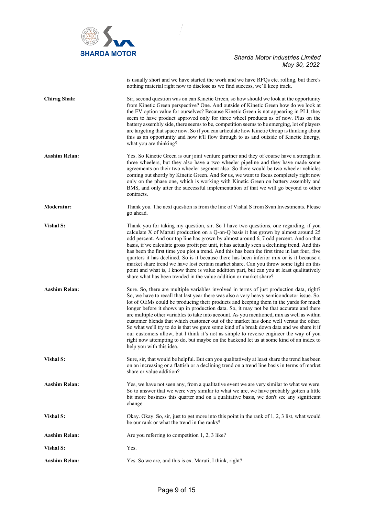

|                      | is usually short and we have started the work and we have RFQs etc. rolling, but there's<br>nothing material right now to disclose as we find success, we'll keep track.                                                                                                                                                                                                                                                                                                                                                                                                                                                                                                                                                                                                                                                                                                      |
|----------------------|-------------------------------------------------------------------------------------------------------------------------------------------------------------------------------------------------------------------------------------------------------------------------------------------------------------------------------------------------------------------------------------------------------------------------------------------------------------------------------------------------------------------------------------------------------------------------------------------------------------------------------------------------------------------------------------------------------------------------------------------------------------------------------------------------------------------------------------------------------------------------------|
| <b>Chirag Shah:</b>  | Sir, second question was on can Kinetic Green, so how should we look at the opportunity<br>from Kinetic Green perspective? One. And outside of Kinetic Green how do we look at<br>the EV option value for ourselves? Because Kinetic Green is not appearing in PLI, they<br>seem to have product approved only for three wheel products as of now. Plus on the<br>battery assembly side, there seems to be, competition seems to be emerging, lot of players<br>are targeting that space now. So if you can articulate how Kinetic Group is thinking about<br>this as an opportunity and how it'll flow through to us and outside of Kinetic Energy,<br>what you are thinking?                                                                                                                                                                                                |
| <b>Aashim Relan:</b> | Yes. So Kinetic Green is our joint venture partner and they of course have a strength in<br>three wheelers, but they also have a two wheeler pipeline and they have made some<br>agreements on their two wheeler segment also. So there would be two wheeler vehicles<br>coming out shortly by Kinetic Green. And for us, we want to focus completely right now<br>only on the phase one, which is working with Kinetic Green on battery assembly and<br>BMS, and only after the successful implementation of that we will go beyond to other<br>contracts.                                                                                                                                                                                                                                                                                                                   |
| <b>Moderator:</b>    | Thank you. The next question is from the line of Vishal S from Svan Investments. Please<br>go ahead.                                                                                                                                                                                                                                                                                                                                                                                                                                                                                                                                                                                                                                                                                                                                                                          |
| <b>Vishal S:</b>     | Thank you for taking my question, sir. So I have two questions, one regarding, if you<br>calculate X of Maruti production on a Q-on-Q basis it has grown by almost around 25<br>odd percent. And our top line has grown by almost around 6, 7 odd percent. And on that<br>basis, if we calculate gross profit per unit, it has actually seen a declining trend. And this<br>has been the first time you plot a trend. And this has been the first time in last four, five<br>quarters it has declined. So is it because there has been inferior mix or is it because a<br>market share trend we have lost certain market share. Can you throw some light on this<br>point and what is, I know there is value addition part, but can you at least qualitatively<br>share what has been trended in the value addition or market share?                                          |
| <b>Aashim Relan:</b> | Sure. So, there are multiple variables involved in terms of just production data, right?<br>So, we have to recall that last year there was also a very heavy semiconductor issue. So,<br>lot of OEMs could be producing their products and keeping them in the yards for much<br>longer before it shows up in production data. So, it may not be that accurate and there<br>are multiple other variables to take into account. As you mentioned, mix as well as within<br>customer blends that which customer out of the market has done well versus the other.<br>So what we'll try to do is that we gave some kind of a break down data and we share it if<br>our customers allow, but I think it's not as simple to reverse engineer the way of you<br>right now attempting to do, but maybe on the backend let us at some kind of an index to<br>help you with this idea. |
| Vishal S:            | Sure, sir, that would be helpful. But can you qualitatively at least share the trend has been<br>on an increasing or a flattish or a declining trend on a trend line basis in terms of market<br>share or value addition?                                                                                                                                                                                                                                                                                                                                                                                                                                                                                                                                                                                                                                                     |
| Aashim Relan:        | Yes, we have not seen any, from a qualitative event we are very similar to what we were.<br>So to answer that we were very similar to what we are, we have probably gotten a little<br>bit more business this quarter and on a qualitative basis, we don't see any significant<br>change.                                                                                                                                                                                                                                                                                                                                                                                                                                                                                                                                                                                     |
| Vishal S:            | Okay. Okay. So, sir, just to get more into this point in the rank of 1, 2, 3 list, what would<br>be our rank or what the trend in the ranks?                                                                                                                                                                                                                                                                                                                                                                                                                                                                                                                                                                                                                                                                                                                                  |
| <b>Aashim Relan:</b> | Are you referring to competition 1, 2, 3 like?                                                                                                                                                                                                                                                                                                                                                                                                                                                                                                                                                                                                                                                                                                                                                                                                                                |
| Vishal S:            | Yes.                                                                                                                                                                                                                                                                                                                                                                                                                                                                                                                                                                                                                                                                                                                                                                                                                                                                          |
| <b>Aashim Relan:</b> | Yes. So we are, and this is ex. Maruti, I think, right?                                                                                                                                                                                                                                                                                                                                                                                                                                                                                                                                                                                                                                                                                                                                                                                                                       |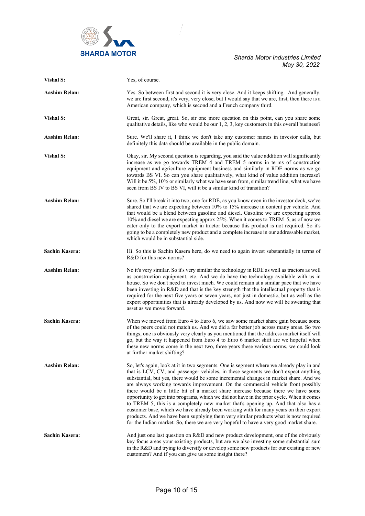

| Vishal S:             | Yes, of course.                                                                                                                                                                                                                                                                                                                                                                                                                                                                                                                                                                                                                                                                                                                                                                                                                                                                                                |
|-----------------------|----------------------------------------------------------------------------------------------------------------------------------------------------------------------------------------------------------------------------------------------------------------------------------------------------------------------------------------------------------------------------------------------------------------------------------------------------------------------------------------------------------------------------------------------------------------------------------------------------------------------------------------------------------------------------------------------------------------------------------------------------------------------------------------------------------------------------------------------------------------------------------------------------------------|
| <b>Aashim Relan:</b>  | Yes. So between first and second it is very close. And it keeps shifting. And generally,<br>we are first second, it's very, very close, but I would say that we are, first, then there is a<br>American company, which is second and a French company third.                                                                                                                                                                                                                                                                                                                                                                                                                                                                                                                                                                                                                                                   |
| Vishal S:             | Great, sir. Great, great. So, sir one more question on this point, can you share some<br>qualitative details, like who would be our 1, 2, 3, key customers in this overall business?                                                                                                                                                                                                                                                                                                                                                                                                                                                                                                                                                                                                                                                                                                                           |
| <b>Aashim Relan:</b>  | Sure. We'll share it, I think we don't take any customer names in investor calls, but<br>definitely this data should be available in the public domain.                                                                                                                                                                                                                                                                                                                                                                                                                                                                                                                                                                                                                                                                                                                                                        |
| Vishal S:             | Okay, sir. My second question is regarding, you said the value addition will significantly<br>increase as we go towards TREM 4 and TREM 5 norms in terms of construction<br>equipment and agriculture equipment business and similarly in RDE norms as we go<br>towards BS VI. So can you share qualitatively, what kind of value addition increase?<br>Will it be 5%, 10% or similarly what we have seen from, similar trend line, what we have<br>seen from BS IV to BS VI, will it be a similar kind of transition?                                                                                                                                                                                                                                                                                                                                                                                         |
| <b>Aashim Relan:</b>  | Sure. So I'll break it into two, one for RDE, as you know even in the investor deck, we've<br>shared that we are expecting between 10% to 15% increase in content per vehicle. And<br>that would be a blend between gasoline and diesel. Gasoline we are expecting approx<br>10% and diesel we are expecting approx 25%. When it comes to TREM 5, as of now we<br>cater only to the export market in tractor because this product is not required. So it's<br>going to be a completely new product and a complete increase in our addressable market,<br>which would be in substantial side.                                                                                                                                                                                                                                                                                                                   |
| <b>Sachin Kasera:</b> | Hi. So this is Sachin Kasera here, do we need to again invest substantially in terms of<br>R&D for this new norms?                                                                                                                                                                                                                                                                                                                                                                                                                                                                                                                                                                                                                                                                                                                                                                                             |
| <b>Aashim Relan:</b>  | No it's very similar. So it's very similar the technology in RDE as well as tractors as well<br>as construction equipment, etc. And we do have the technology available with us in<br>house. So we don't need to invest much. We could remain at a similar pace that we have<br>been investing in R&D and that is the key strength that the intellectual property that is<br>required for the next five years or seven years, not just in domestic, but as well as the<br>export opportunities that is already developed by us. And now we will be sweating that<br>asset as we move forward.                                                                                                                                                                                                                                                                                                                  |
| Sachin Kasera:        | When we moved from Euro 4 to Euro 6, we saw some market share gain because some<br>of the peers could not match us. And we did a far better job across many areas. So two<br>things, one is obviously very clearly as you mentioned that the address market itself will<br>go, but the way it happened from Euro 4 to Euro 6 market shift are we hopeful when<br>these new norms come in the next two, three years these various norms, we could look<br>at further market shifting?                                                                                                                                                                                                                                                                                                                                                                                                                           |
| <b>Aashim Relan:</b>  | So, let's again, look at it in two segments. One is segment where we already play in and<br>that is LCV, CV, and passenger vehicles, in these segments we don't expect anything<br>substantial, but yes, there would be some incremental changes in market share. And we<br>are always working towards improvement. On the commercial vehicle front possibly<br>there would be a little bit of a market share increase because there we have some<br>opportunity to get into programs, which we did not have in the prior cycle. When it comes<br>to TREM 5, this is a completely new market that's opening up. And that also has a<br>customer base, which we have already been working with for many years on their export<br>products. And we have been supplying them very similar products what is now required<br>for the Indian market. So, there we are very hopeful to have a very good market share. |
| Sachin Kasera:        | And just one last question on R&D and new product development, one of the obviously<br>key focus areas your existing products, but are we also investing some substantial sum<br>in the R&D and trying to diversify or develop some new products for our existing or new<br>customers? And if you can give us some insight there?                                                                                                                                                                                                                                                                                                                                                                                                                                                                                                                                                                              |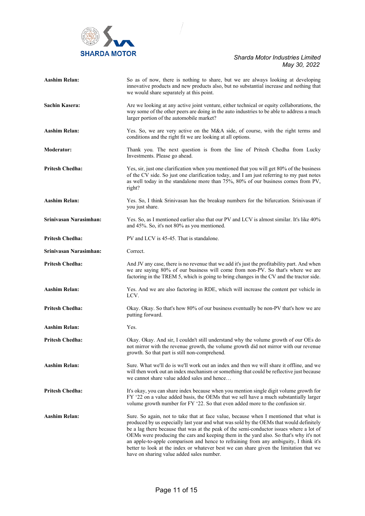

| <b>Aashim Relan:</b>   | So as of now, there is nothing to share, but we are always looking at developing<br>innovative products and new products also, but no substantial increase and nothing that<br>we would share separately at this point.                                                                                                                                                                                                                                                                                                                                                                               |
|------------------------|-------------------------------------------------------------------------------------------------------------------------------------------------------------------------------------------------------------------------------------------------------------------------------------------------------------------------------------------------------------------------------------------------------------------------------------------------------------------------------------------------------------------------------------------------------------------------------------------------------|
| Sachin Kasera:         | Are we looking at any active joint venture, either technical or equity collaborations, the<br>way some of the other peers are doing in the auto industries to be able to address a much<br>larger portion of the automobile market?                                                                                                                                                                                                                                                                                                                                                                   |
| Aashim Relan:          | Yes. So, we are very active on the M&A side, of course, with the right terms and<br>conditions and the right fit we are looking at all options.                                                                                                                                                                                                                                                                                                                                                                                                                                                       |
| <b>Moderator:</b>      | Thank you. The next question is from the line of Pritesh Chedha from Lucky<br>Investments. Please go ahead.                                                                                                                                                                                                                                                                                                                                                                                                                                                                                           |
| <b>Pritesh Chedha:</b> | Yes, sir, just one clarification when you mentioned that you will get 80% of the business<br>of the CV side. So just one clarification today, and I am just referring to my past notes<br>as well today in the standalone more than 75%, 80% of our business comes from PV,<br>right?                                                                                                                                                                                                                                                                                                                 |
| <b>Aashim Relan:</b>   | Yes. So, I think Srinivasan has the breakup numbers for the bifurcation. Srinivasan if<br>you just share.                                                                                                                                                                                                                                                                                                                                                                                                                                                                                             |
| Srinivasan Narasimhan: | Yes. So, as I mentioned earlier also that our PV and LCV is almost similar. It's like 40%<br>and 45%. So, it's not 80% as you mentioned.                                                                                                                                                                                                                                                                                                                                                                                                                                                              |
| <b>Pritesh Chedha:</b> | PV and LCV is 45-45. That is standalone.                                                                                                                                                                                                                                                                                                                                                                                                                                                                                                                                                              |
| Srinivasan Narasimhan: | Correct.                                                                                                                                                                                                                                                                                                                                                                                                                                                                                                                                                                                              |
| <b>Pritesh Chedha:</b> | And JV any case, there is no revenue that we add it's just the profitability part. And when<br>we are saying 80% of our business will come from non-PV. So that's where we are<br>factoring in the TREM 5, which is going to bring changes in the CV and the tractor side.                                                                                                                                                                                                                                                                                                                            |
| <b>Aashim Relan:</b>   | Yes. And we are also factoring in RDE, which will increase the content per vehicle in<br>LCV.                                                                                                                                                                                                                                                                                                                                                                                                                                                                                                         |
| <b>Pritesh Chedha:</b> | Okay. Okay. So that's how 80% of our business eventually be non-PV that's how we are<br>putting forward.                                                                                                                                                                                                                                                                                                                                                                                                                                                                                              |
| <b>Aashim Relan:</b>   | Yes.                                                                                                                                                                                                                                                                                                                                                                                                                                                                                                                                                                                                  |
| <b>Pritesh Chedha:</b> | Okay. Okay. And sir, I couldn't still understand why the volume growth of our OEs do<br>not mirror with the revenue growth, the volume growth did not mirror with our revenue<br>growth. So that part is still non-comprehend.                                                                                                                                                                                                                                                                                                                                                                        |
| <b>Aashim Relan:</b>   | Sure. What we'll do is we'll work out an index and then we will share it offline, and we<br>will then work out an index mechanism or something that could be reflective just because<br>we cannot share value added sales and hence                                                                                                                                                                                                                                                                                                                                                                   |
| <b>Pritesh Chedha:</b> | It's okay, you can share index because when you mention single digit volume growth for<br>FY '22 on a value added basis, the OEMs that we sell have a much substantially larger<br>volume growth number for FY '22. So that even added more to the confusion sir.                                                                                                                                                                                                                                                                                                                                     |
| Aashim Relan:          | Sure. So again, not to take that at face value, because when I mentioned that what is<br>produced by us especially last year and what was sold by the OEMs that would definitely<br>be a lag there because that was at the peak of the semi-conductor issues where a lot of<br>OEMs were producing the cars and keeping them in the yard also. So that's why it's not<br>an apple-to-apple comparison and hence to refraining from any ambiguity, I think it's<br>better to look at the index or whatever best we can share given the limitation that we<br>have on sharing value added sales number. |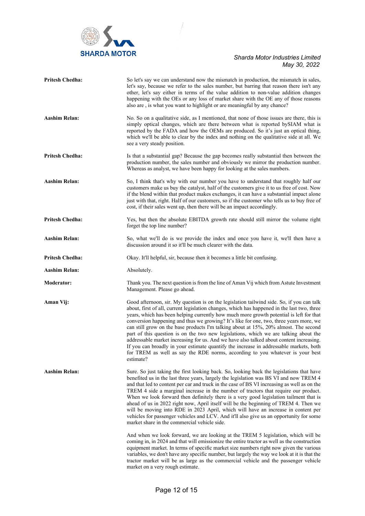

| <b>Pritesh Chedha:</b> | So let's say we can understand now the mismatch in production, the mismatch in sales,<br>let's say, because we refer to the sales number, but barring that reason there isn't any<br>other, let's say either in terms of the value addition to non-value addition changes<br>happening with the OEs or any loss of market share with the OE any of those reasons<br>also are, is what you want to highlight or are meaningful by any chance?                                                                                                                                                                                                                                                                                                                                                                                                                                                                                                                                                                                                                             |
|------------------------|--------------------------------------------------------------------------------------------------------------------------------------------------------------------------------------------------------------------------------------------------------------------------------------------------------------------------------------------------------------------------------------------------------------------------------------------------------------------------------------------------------------------------------------------------------------------------------------------------------------------------------------------------------------------------------------------------------------------------------------------------------------------------------------------------------------------------------------------------------------------------------------------------------------------------------------------------------------------------------------------------------------------------------------------------------------------------|
| <b>Aashim Relan:</b>   | No. So on a qualitative side, as I mentioned, that none of those issues are there, this is<br>simply optical changes, which are there between what is reported bySIAM what is<br>reported by the FADA and how the OEMs are produced. So it's just an optical thing,<br>which we'll be able to clear by the index and nothing on the qualitative side at all. We<br>see a very steady position.                                                                                                                                                                                                                                                                                                                                                                                                                                                                                                                                                                                                                                                                           |
| <b>Pritesh Chedha:</b> | Is that a substantial gap? Because the gap becomes really substantial then between the<br>production number, the sales number and obviously we mirror the production number.<br>Whereas as analyst, we have been happy for looking at the sales numbers.                                                                                                                                                                                                                                                                                                                                                                                                                                                                                                                                                                                                                                                                                                                                                                                                                 |
| <b>Aashim Relan:</b>   | So, I think that's why with our number you have to understand that roughly half our<br>customers make us buy the catalyst, half of the customers give it to us free of cost. Now<br>if the blend within that product makes exchanges, it can have a substantial impact alone<br>just with that, right. Half of our customers, so if the customer who tells us to buy free of<br>cost, if their sales went up, then there will be an impact accordingly.                                                                                                                                                                                                                                                                                                                                                                                                                                                                                                                                                                                                                  |
| <b>Pritesh Chedha:</b> | Yes, but then the absolute EBITDA growth rate should still mirror the volume right<br>forget the top line number?                                                                                                                                                                                                                                                                                                                                                                                                                                                                                                                                                                                                                                                                                                                                                                                                                                                                                                                                                        |
| <b>Aashim Relan:</b>   | So, what we'll do is we provide the index and once you have it, we'll then have a<br>discussion around it so it'll be much clearer with the data.                                                                                                                                                                                                                                                                                                                                                                                                                                                                                                                                                                                                                                                                                                                                                                                                                                                                                                                        |
| <b>Pritesh Chedha:</b> | Okay. It'll helpful, sir, because then it becomes a little bit confusing.                                                                                                                                                                                                                                                                                                                                                                                                                                                                                                                                                                                                                                                                                                                                                                                                                                                                                                                                                                                                |
| Aashim Relan:          | Absolutely.                                                                                                                                                                                                                                                                                                                                                                                                                                                                                                                                                                                                                                                                                                                                                                                                                                                                                                                                                                                                                                                              |
| <b>Moderator:</b>      | Thank you. The next question is from the line of Aman Vij which from Astute Investment<br>Management. Please go ahead.                                                                                                                                                                                                                                                                                                                                                                                                                                                                                                                                                                                                                                                                                                                                                                                                                                                                                                                                                   |
| Aman Vij:              | Good afternoon, sir. My question is on the legislation tailwind side. So, if you can talk<br>about, first of all, current legislation changes, which has happened in the last two, three<br>years, which has been helping currently how much more growth potential is left for that<br>conversion happening and thus we growing? It's like for one, two, three years more, we<br>can still grow on the base products I'm talking about at 15%, 20% almost. The second<br>part of this question is on the two new legislations, which we are talking about the<br>addressable market increasing for us. And we have also talked about content increasing.<br>If you can broadly in your estimate quantify the increase in addressable markets, both<br>for TREM as well as say the RDE norms, according to you whatever is your best<br>estimate?                                                                                                                                                                                                                         |
| <b>Aashim Relan:</b>   | Sure. So just taking the first looking back. So, looking back the legislations that have<br>benefited us in the last three years, largely the legislation was BS VI and now TREM 4<br>and that led to content per car and truck in the case of BS VI increasing as well as on the<br>TREM 4 side a marginal increase in the number of tractors that require our product.<br>When we look forward then definitely there is a very good legislation tailment that is<br>ahead of us in 2022 right now, April itself will be the beginning of TREM 4. Then we<br>will be moving into RDE in 2023 April, which will have an increase in content per<br>vehicles for passenger vehicles and LCV. And it'll also give us an opportunity for some<br>market share in the commercial vehicle side.<br>And when we look forward, we are looking at the TREM 5 legislation, which will be<br>coming in, in 2024 and that will emissionize the entire tractor as well as the construction<br>equipment market. In terms of specific market size numbers right now given the various |
|                        | variables, we don't have any specific number, but largely the way we look at it is that the<br>tractor market will be as large as the commercial vehicle and the passenger vehicle<br>market on a very rough estimate.                                                                                                                                                                                                                                                                                                                                                                                                                                                                                                                                                                                                                                                                                                                                                                                                                                                   |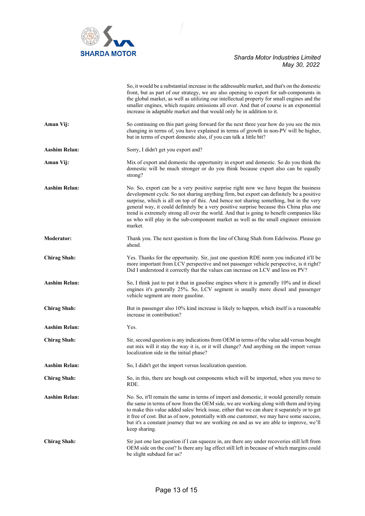

|                      | So, it would be a substantial increase in the addressable market, and that's on the domestic<br>front, but as part of our strategy, we are also opening to export for sub-components in<br>the global market, as well as utilizing our intellectual property for small engines and the<br>smaller engines, which require emissions all over. And that of course is an exponential<br>increase in adaptable market and that would only be in addition to it.                                                                                                           |
|----------------------|-----------------------------------------------------------------------------------------------------------------------------------------------------------------------------------------------------------------------------------------------------------------------------------------------------------------------------------------------------------------------------------------------------------------------------------------------------------------------------------------------------------------------------------------------------------------------|
| Aman Vij:            | So continuing on this part going forward for the next three year how do you see the mix<br>changing in terms of, you have explained in terms of growth in non-PV will be higher,<br>but in terms of export domestic also, if you can talk a little bit?                                                                                                                                                                                                                                                                                                               |
| <b>Aashim Relan:</b> | Sorry, I didn't get you export and?                                                                                                                                                                                                                                                                                                                                                                                                                                                                                                                                   |
| Aman Vij:            | Mix of export and domestic the opportunity in export and domestic. So do you think the<br>domestic will be much stronger or do you think because export also can be equally<br>strong?                                                                                                                                                                                                                                                                                                                                                                                |
| <b>Aashim Relan:</b> | No. So, export can be a very positive surprise right now we have begun the business<br>development cycle. So not sharing anything firm, but export can definitely be a positive<br>surprise, which is all on top of this. And hence not sharing something, but in the very<br>general way, it could definitely be a very positive surprise because this China plus one<br>trend is extremely strong all over the world. And that is going to benefit companies like<br>us who will play in the sub-component market as well as the small engineer emission<br>market. |
| <b>Moderator:</b>    | Thank you. The next question is from the line of Chirag Shah from Edelweiss. Please go<br>ahead.                                                                                                                                                                                                                                                                                                                                                                                                                                                                      |
| <b>Chirag Shah:</b>  | Yes. Thanks for the opportunity. Sir, just one question RDE norm you indicated it'll be<br>more important from LCV perspective and not passenger vehicle perspective, is it right?<br>Did I understood it correctly that the values can increase on LCV and less on PV?                                                                                                                                                                                                                                                                                               |
| <b>Aashim Relan:</b> | So, I think just to put it that in gasoline engines where it is generally 10% and in diesel<br>engines it's generally 25%. So, LCV segment is usually more diesel and passenger<br>vehicle segment are more gasoline.                                                                                                                                                                                                                                                                                                                                                 |
| <b>Chirag Shah:</b>  | But in passenger also 10% kind increase is likely to happen, which itself is a reasonable<br>increase in contribution?                                                                                                                                                                                                                                                                                                                                                                                                                                                |
| <b>Aashim Relan:</b> | Yes.                                                                                                                                                                                                                                                                                                                                                                                                                                                                                                                                                                  |
| <b>Chirag Shah:</b>  | Sir, second question is any indications from OEM in terms of the value add versus bought<br>out mix will it stay the way it is, or it will change? And anything on the import versus<br>localization side in the initial phase?                                                                                                                                                                                                                                                                                                                                       |
| <b>Aashim Relan:</b> | So, I didn't get the import versus localization question.                                                                                                                                                                                                                                                                                                                                                                                                                                                                                                             |
| <b>Chirag Shah:</b>  | So, in this, there are bough out components which will be imported, when you move to<br>RDE.                                                                                                                                                                                                                                                                                                                                                                                                                                                                          |
| Aashim Relan:        | No. So, it'll remain the same in terms of import and domestic, it would generally remain<br>the same in terms of now from the OEM side, we are working along with them and trying<br>to make this value added sales/ brick issue, either that we can share it separately or to get<br>it free of cost. But as of now, potentially with one customer, we may have some success,<br>but it's a constant journey that we are working on and as we are able to improve, we'll<br>keep sharing.                                                                            |
| <b>Chirag Shah:</b>  | Sir just one last question if I can squeeze in, are there any under recoveries still left from<br>OEM side on the cost? Is there any lag effect still left in because of which margins could<br>be slight subdued for us?                                                                                                                                                                                                                                                                                                                                             |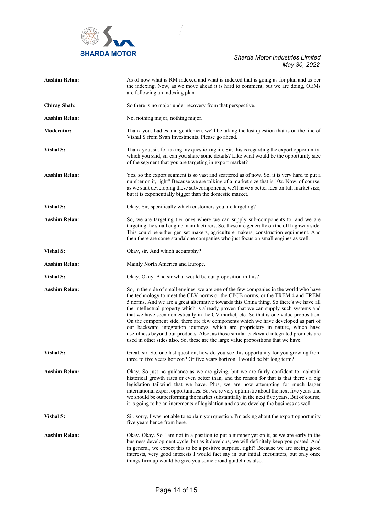

| <b>Aashim Relan:</b> | As of now what is RM indexed and what is indexed that is going as for plan and as per<br>the indexing. Now, as we move ahead it is hard to comment, but we are doing, OEMs<br>are following an indexing plan.                                                                                                                                                                                                                                                                                                                                                                                                                                                                                                                                                                                                      |
|----------------------|--------------------------------------------------------------------------------------------------------------------------------------------------------------------------------------------------------------------------------------------------------------------------------------------------------------------------------------------------------------------------------------------------------------------------------------------------------------------------------------------------------------------------------------------------------------------------------------------------------------------------------------------------------------------------------------------------------------------------------------------------------------------------------------------------------------------|
| <b>Chirag Shah:</b>  | So there is no major under recovery from that perspective.                                                                                                                                                                                                                                                                                                                                                                                                                                                                                                                                                                                                                                                                                                                                                         |
| <b>Aashim Relan:</b> | No, nothing major, nothing major.                                                                                                                                                                                                                                                                                                                                                                                                                                                                                                                                                                                                                                                                                                                                                                                  |
| <b>Moderator:</b>    | Thank you. Ladies and gentlemen, we'll be taking the last question that is on the line of<br>Vishal S from Svan Investments. Please go ahead.                                                                                                                                                                                                                                                                                                                                                                                                                                                                                                                                                                                                                                                                      |
| <b>Vishal S:</b>     | Thank you, sir, for taking my question again. Sir, this is regarding the export opportunity,<br>which you said, sir can you share some details? Like what would be the opportunity size<br>of the segment that you are targeting in export market?                                                                                                                                                                                                                                                                                                                                                                                                                                                                                                                                                                 |
| <b>Aashim Relan:</b> | Yes, so the export segment is so vast and scattered as of now. So, it is very hard to put a<br>number on it, right? Because we are talking of a market size that is 10x. Now, of course,<br>as we start developing these sub-components, we'll have a better idea on full market size,<br>but it is exponentially bigger than the domestic market.                                                                                                                                                                                                                                                                                                                                                                                                                                                                 |
| <b>Vishal S:</b>     | Okay. Sir, specifically which customers you are targeting?                                                                                                                                                                                                                                                                                                                                                                                                                                                                                                                                                                                                                                                                                                                                                         |
| <b>Aashim Relan:</b> | So, we are targeting tier ones where we can supply sub-components to, and we are<br>targeting the small engine manufacturers. So, these are generally on the off highway side.<br>This could be either gen set makers, agriculture makers, construction equipment. And<br>then there are some standalone companies who just focus on small engines as well.                                                                                                                                                                                                                                                                                                                                                                                                                                                        |
| <b>Vishal S:</b>     | Okay, sir. And which geography?                                                                                                                                                                                                                                                                                                                                                                                                                                                                                                                                                                                                                                                                                                                                                                                    |
| <b>Aashim Relan:</b> | Mainly North America and Europe.                                                                                                                                                                                                                                                                                                                                                                                                                                                                                                                                                                                                                                                                                                                                                                                   |
| Vishal S:            | Okay. Okay. And sir what would be our proposition in this?                                                                                                                                                                                                                                                                                                                                                                                                                                                                                                                                                                                                                                                                                                                                                         |
| <b>Aashim Relan:</b> | So, in the side of small engines, we are one of the few companies in the world who have<br>the technology to meet the CEV norms or the CPCB norms, or the TREM 4 and TREM<br>5 norms. And we are a great alternative towards this China thing. So there's we have all<br>the intellectual property which is already proven that we can supply such systems and<br>that we have seen domestically in the CV market, etc. So that is one value proposition.<br>On the component side, there are few components which we have developed as part of<br>our backward integration journeys, which are proprietary in nature, which have<br>usefulness beyond our products. Also, as those similar backward integrated products are<br>used in other sides also. So, these are the large value propositions that we have. |
| Vishal S:            | Great, sir. So, one last question, how do you see this opportunity for you growing from<br>three to five years horizon? Or five years horizon, I would be bit long term?                                                                                                                                                                                                                                                                                                                                                                                                                                                                                                                                                                                                                                           |
| <b>Aashim Relan:</b> | Okay. So just no guidance as we are giving, but we are fairly confident to maintain<br>historical growth rates or even better than, and the reason for that is that there's a big<br>legislation tailwind that we have. Plus, we are now attempting for much larger<br>international export opportunities. So, we're very optimistic about the next five years and<br>we should be outperforming the market substantially in the next five years. But of course,<br>it is going to be an increments of legislation and as we develop the business as well.                                                                                                                                                                                                                                                         |
| <b>Vishal S:</b>     | Sir, sorry, I was not able to explain you question. I'm asking about the export opportunity<br>five years hence from here.                                                                                                                                                                                                                                                                                                                                                                                                                                                                                                                                                                                                                                                                                         |
| <b>Aashim Relan:</b> | Okay. Okay. So I am not in a position to put a number yet on it, as we are early in the<br>business development cycle, but as it develops, we will definitely keep you posted. And<br>in general, we expect this to be a positive surprise, right? Because we are seeing good<br>interests, very good interests I would fact say in our initial encounters, but only once<br>things firm up would be give you some broad guidelines also.                                                                                                                                                                                                                                                                                                                                                                          |